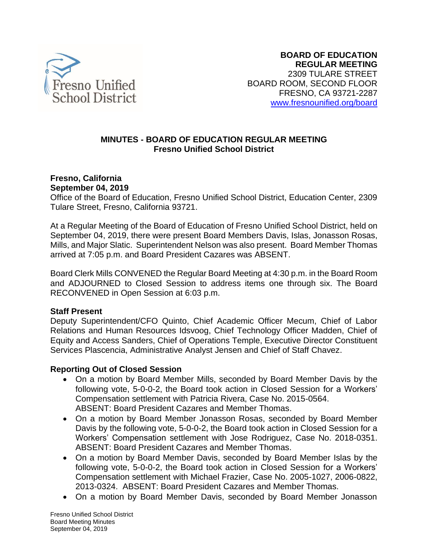

## **MINUTES - BOARD OF EDUCATION REGULAR MEETING Fresno Unified School District**

#### **Fresno, California September 04, 2019**

Office of the Board of Education, Fresno Unified School District, Education Center, 2309 Tulare Street, Fresno, California 93721.

At a Regular Meeting of the Board of Education of Fresno Unified School District, held on September 04, 2019, there were present Board Members Davis, Islas, Jonasson Rosas, Mills, and Major Slatic. Superintendent Nelson was also present. Board Member Thomas arrived at 7:05 p.m. and Board President Cazares was ABSENT.

Board Clerk Mills CONVENED the Regular Board Meeting at 4:30 p.m. in the Board Room and ADJOURNED to Closed Session to address items one through six. The Board RECONVENED in Open Session at 6:03 p.m.

## **Staff Present**

Deputy Superintendent/CFO Quinto, Chief Academic Officer Mecum, Chief of Labor Relations and Human Resources Idsvoog, Chief Technology Officer Madden, Chief of Equity and Access Sanders, Chief of Operations Temple, Executive Director Constituent Services Plascencia, Administrative Analyst Jensen and Chief of Staff Chavez.

#### **Reporting Out of Closed Session**

- On a motion by Board Member Mills, seconded by Board Member Davis by the following vote, 5-0-0-2, the Board took action in Closed Session for a Workers' Compensation settlement with Patricia Rivera, Case No. 2015-0564. ABSENT: Board President Cazares and Member Thomas.
- On a motion by Board Member Jonasson Rosas, seconded by Board Member Davis by the following vote, 5-0-0-2, the Board took action in Closed Session for a Workers' Compensation settlement with Jose Rodriguez, Case No. 2018-0351. ABSENT: Board President Cazares and Member Thomas.
- On a motion by Board Member Davis, seconded by Board Member Islas by the following vote, 5-0-0-2, the Board took action in Closed Session for a Workers' Compensation settlement with Michael Frazier, Case No. 2005-1027, 2006-0822, 2013-0324. ABSENT: Board President Cazares and Member Thomas.
- On a motion by Board Member Davis, seconded by Board Member Jonasson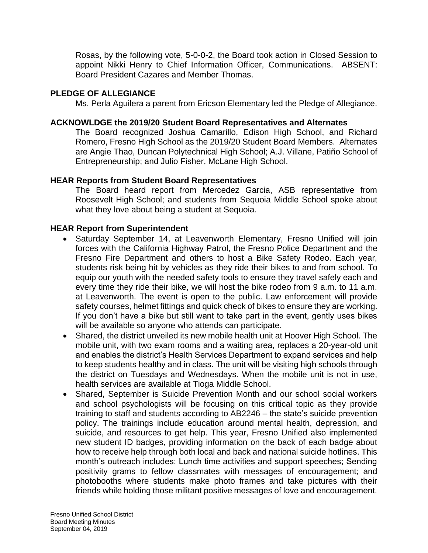Rosas, by the following vote, 5-0-0-2, the Board took action in Closed Session to appoint Nikki Henry to Chief Information Officer, Communications. ABSENT: Board President Cazares and Member Thomas.

### **PLEDGE OF ALLEGIANCE**

Ms. Perla Aguilera a parent from Ericson Elementary led the Pledge of Allegiance.

### **ACKNOWLDGE the 2019/20 Student Board Representatives and Alternates**

The Board recognized Joshua Camarillo, Edison High School, and Richard Romero, Fresno High School as the 2019/20 Student Board Members. Alternates are Angie Thao, Duncan Polytechnical High School; A.J. Villane, Patiño School of Entrepreneurship; and Julio Fisher, McLane High School.

### **HEAR Reports from Student Board Representatives**

The Board heard report from Mercedez Garcia, ASB representative from Roosevelt High School; and students from Sequoia Middle School spoke about what they love about being a student at Sequoia.

#### **HEAR Report from Superintendent**

- Saturday September 14, at Leavenworth Elementary, Fresno Unified will join forces with the California Highway Patrol, the Fresno Police Department and the Fresno Fire Department and others to host a Bike Safety Rodeo. Each year, students risk being hit by vehicles as they ride their bikes to and from school. To equip our youth with the needed safety tools to ensure they travel safely each and every time they ride their bike, we will host the bike rodeo from 9 a.m. to 11 a.m. at Leavenworth. The event is open to the public. Law enforcement will provide safety courses, helmet fittings and quick check of bikes to ensure they are working. If you don't have a bike but still want to take part in the event, gently uses bikes will be available so anyone who attends can participate.
- Shared, the district unveiled its new mobile health unit at Hoover High School. The mobile unit, with two exam rooms and a waiting area, replaces a 20-year-old unit and enables the district's Health Services Department to expand services and help to keep students healthy and in class. The unit will be visiting high schools through the district on Tuesdays and Wednesdays. When the mobile unit is not in use, health services are available at Tioga Middle School.
- Shared, September is Suicide Prevention Month and our school social workers and school psychologists will be focusing on this critical topic as they provide training to staff and students according to AB2246 – the state's suicide prevention policy. The trainings include education around mental health, depression, and suicide, and resources to get help. This year, Fresno Unified also implemented new student ID badges, providing information on the back of each badge about how to receive help through both local and back and national suicide hotlines. This month's outreach includes: Lunch time activities and support speeches; Sending positivity grams to fellow classmates with messages of encouragement; and photobooths where students make photo frames and take pictures with their friends while holding those militant positive messages of love and encouragement.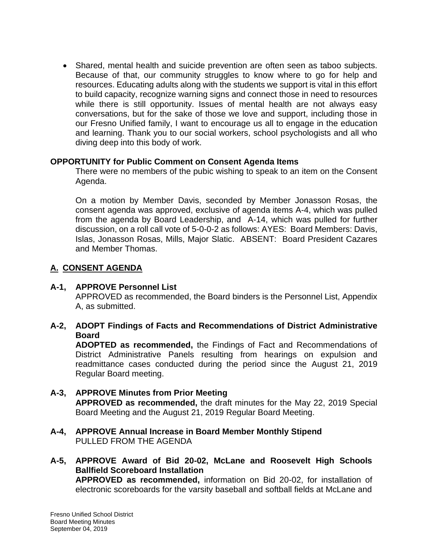• Shared, mental health and suicide prevention are often seen as taboo subjects. Because of that, our community struggles to know where to go for help and resources. Educating adults along with the students we support is vital in this effort to build capacity, recognize warning signs and connect those in need to resources while there is still opportunity. Issues of mental health are not always easy conversations, but for the sake of those we love and support, including those in our Fresno Unified family, I want to encourage us all to engage in the education and learning. Thank you to our social workers, school psychologists and all who diving deep into this body of work.

#### **OPPORTUNITY for Public Comment on Consent Agenda Items**

There were no members of the pubic wishing to speak to an item on the Consent Agenda.

On a motion by Member Davis, seconded by Member Jonasson Rosas, the consent agenda was approved, exclusive of agenda items A-4, which was pulled from the agenda by Board Leadership, and A-14, which was pulled for further discussion, on a roll call vote of 5-0-0-2 as follows: AYES: Board Members: Davis, Islas, Jonasson Rosas, Mills, Major Slatic. ABSENT: Board President Cazares and Member Thomas.

## **A. CONSENT AGENDA**

#### **A-1, APPROVE Personnel List**

APPROVED as recommended, the Board binders is the Personnel List, Appendix A, as submitted.

## **A-2, ADOPT Findings of Facts and Recommendations of District Administrative Board**

**ADOPTED as recommended,** the Findings of Fact and Recommendations of District Administrative Panels resulting from hearings on expulsion and readmittance cases conducted during the period since the August 21, 2019 Regular Board meeting.

- **A-3, APPROVE Minutes from Prior Meeting APPROVED as recommended,** the draft minutes for the May 22, 2019 Special Board Meeting and the August 21, 2019 Regular Board Meeting.
- **A-4, APPROVE Annual Increase in Board Member Monthly Stipend** PULLED FROM THE AGENDA
- **A-5, APPROVE Award of Bid 20-02, McLane and Roosevelt High Schools Ballfield Scoreboard Installation APPROVED as recommended,** information on Bid 20-02, for installation of electronic scoreboards for the varsity baseball and softball fields at McLane and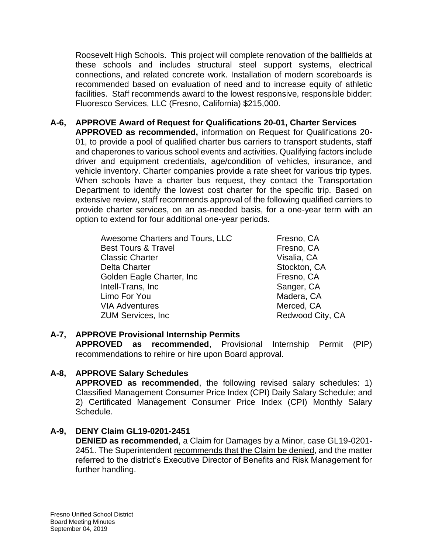Roosevelt High Schools. This project will complete renovation of the ballfields at these schools and includes structural steel support systems, electrical connections, and related concrete work. Installation of modern scoreboards is recommended based on evaluation of need and to increase equity of athletic facilities. Staff recommends award to the lowest responsive, responsible bidder: Fluoresco Services, LLC (Fresno, California) \$215,000.

**A-6, APPROVE Award of Request for Qualifications 20-01, Charter Services APPROVED as recommended,** information on Request for Qualifications 20- 01, to provide a pool of qualified charter bus carriers to transport students, staff and chaperones to various school events and activities. Qualifying factors include driver and equipment credentials, age/condition of vehicles, insurance, and vehicle inventory. Charter companies provide a rate sheet for various trip types. When schools have a charter bus request, they contact the Transportation Department to identify the lowest cost charter for the specific trip. Based on extensive review, staff recommends approval of the following qualified carriers to provide charter services, on an as-needed basis, for a one-year term with an option to extend for four additional one-year periods.

> Awesome Charters and Tours, LLC Fresno, CA Best Tours & Travel **Example 20** Fresno, CA Classic Charter **Visalia, CA** Delta Charter **Stockton**, CA Golden Eagle Charter, Inc **Fig. 1986** Fresno, CA Intell-Trans, Inc **Sanger**, CA Limo For You **Madera, CA** VIA Adventures Merced, CA ZUM Services, Inc **Redwood City**, CA

## **A-7, APPROVE Provisional Internship Permits**

**APPROVED as recommended**, Provisional Internship Permit (PIP) recommendations to rehire or hire upon Board approval.

## **A-8, APPROVE Salary Schedules**

**APPROVED as recommended**, the following revised salary schedules: 1) Classified Management Consumer Price Index (CPI) Daily Salary Schedule; and 2) Certificated Management Consumer Price Index (CPI) Monthly Salary Schedule.

# **A-9, DENY Claim GL19-0201-2451**

**DENIED as recommended**, a Claim for Damages by a Minor, case GL19-0201- 2451. The Superintendent recommends that the Claim be denied, and the matter referred to the district's Executive Director of Benefits and Risk Management for further handling.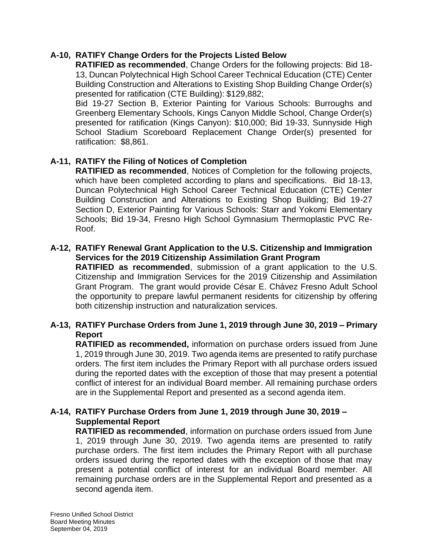### **A-10, RATIFY Change Orders for the Projects Listed Below**

**RATIFIED as recommended**, Change Orders for the following projects: Bid 18- 13, Duncan Polytechnical High School Career Technical Education (CTE) Center Building Construction and Alterations to Existing Shop Building Change Order(s) presented for ratification (CTE Building): \$129,882;

Bid 19-27 Section B, Exterior Painting for Various Schools: Burroughs and Greenberg Elementary Schools, Kings Canyon Middle School, Change Order(s) presented for ratification (Kings Canyon): \$10,000; Bid 19-33, Sunnyside High School Stadium Scoreboard Replacement Change Order(s) presented for ratification: \$8,861.

## **A-11, RATIFY the Filing of Notices of Completion**

**RATIFIED as recommended**, Notices of Completion for the following projects, which have been completed according to plans and specifications. Bid 18-13, Duncan Polytechnical High School Career Technical Education (CTE) Center Building Construction and Alterations to Existing Shop Building; Bid 19-27 Section D, Exterior Painting for Various Schools: Starr and Yokomi Elementary Schools; Bid 19-34, Fresno High School Gymnasium Thermoplastic PVC Re-Roof.

#### **A-12, RATIFY Renewal Grant Application to the U.S. Citizenship and Immigration Services for the 2019 Citizenship Assimilation Grant Program**

**RATIFIED as recommended**, submission of a grant application to the U.S. Citizenship and Immigration Services for the 2019 Citizenship and Assimilation Grant Program. The grant would provide César E. Chávez Fresno Adult School the opportunity to prepare lawful permanent residents for citizenship by offering both citizenship instruction and naturalization services.

## **A-13, RATIFY Purchase Orders from June 1, 2019 through June 30, 2019 – Primary Report**

**RATIFIED as recommended,** information on purchase orders issued from June 1, 2019 through June 30, 2019. Two agenda items are presented to ratify purchase orders. The first item includes the Primary Report with all purchase orders issued during the reported dates with the exception of those that may present a potential conflict of interest for an individual Board member. All remaining purchase orders are in the Supplemental Report and presented as a second agenda item.

### **A-14, RATIFY Purchase Orders from June 1, 2019 through June 30, 2019 – Supplemental Report**

**RATIFIED as recommended**, information on purchase orders issued from June 1, 2019 through June 30, 2019. Two agenda items are presented to ratify purchase orders. The first item includes the Primary Report with all purchase orders issued during the reported dates with the exception of those that may present a potential conflict of interest for an individual Board member. All remaining purchase orders are in the Supplemental Report and presented as a second agenda item.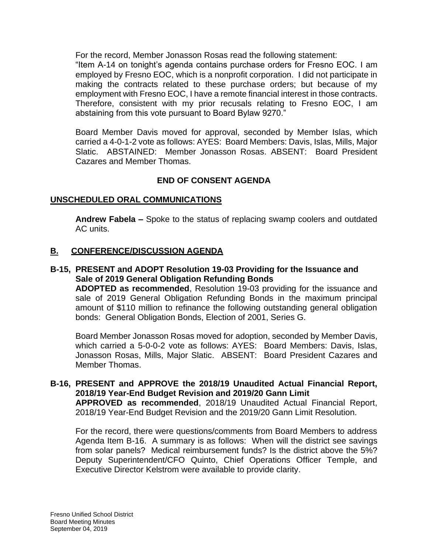For the record, Member Jonasson Rosas read the following statement:

"Item A-14 on tonight's agenda contains purchase orders for Fresno EOC. I am employed by Fresno EOC, which is a nonprofit corporation. I did not participate in making the contracts related to these purchase orders; but because of my employment with Fresno EOC, I have a remote financial interest in those contracts. Therefore, consistent with my prior recusals relating to Fresno EOC, I am abstaining from this vote pursuant to Board Bylaw 9270."

Board Member Davis moved for approval, seconded by Member Islas, which carried a 4-0-1-2 vote as follows: AYES: Board Members: Davis, Islas, Mills, Major Slatic. ABSTAINED: Member Jonasson Rosas. ABSENT: Board President Cazares and Member Thomas.

## **END OF CONSENT AGENDA**

## **UNSCHEDULED ORAL COMMUNICATIONS**

**Andrew Fabela –** Spoke to the status of replacing swamp coolers and outdated AC units.

### **B. CONFERENCE/DISCUSSION AGENDA**

#### **B-15, PRESENT and ADOPT Resolution 19-03 Providing for the Issuance and Sale of 2019 General Obligation Refunding Bonds**

**ADOPTED as recommended**, Resolution 19-03 providing for the issuance and sale of 2019 General Obligation Refunding Bonds in the maximum principal amount of \$110 million to refinance the following outstanding general obligation bonds: General Obligation Bonds, Election of 2001, Series G.

Board Member Jonasson Rosas moved for adoption, seconded by Member Davis, which carried a 5-0-0-2 vote as follows: AYES: Board Members: Davis, Islas, Jonasson Rosas, Mills, Major Slatic. ABSENT: Board President Cazares and Member Thomas.

## **B-16, PRESENT and APPROVE the 2018/19 Unaudited Actual Financial Report, 2018/19 Year-End Budget Revision and 2019/20 Gann Limit**

**APPROVED as recommended**, 2018/19 Unaudited Actual Financial Report, 2018/19 Year-End Budget Revision and the 2019/20 Gann Limit Resolution.

For the record, there were questions/comments from Board Members to address Agenda Item B-16. A summary is as follows: When will the district see savings from solar panels? Medical reimbursement funds? Is the district above the 5%? Deputy Superintendent/CFO Quinto, Chief Operations Officer Temple, and Executive Director Kelstrom were available to provide clarity.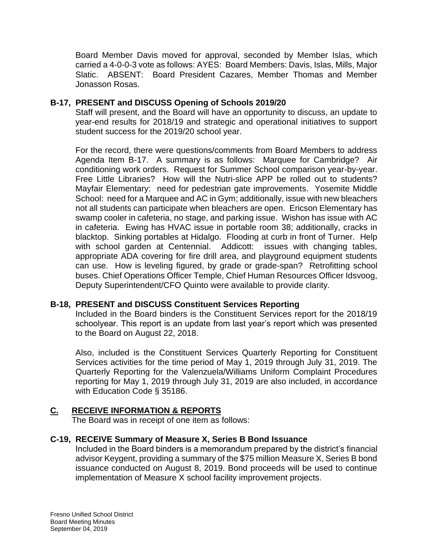Board Member Davis moved for approval, seconded by Member Islas, which carried a 4-0-0-3 vote as follows: AYES: Board Members: Davis, Islas, Mills, Major Slatic. ABSENT: Board President Cazares, Member Thomas and Member Jonasson Rosas.

## **B-17, PRESENT and DISCUSS Opening of Schools 2019/20**

Staff will present, and the Board will have an opportunity to discuss, an update to year-end results for 2018/19 and strategic and operational initiatives to support student success for the 2019/20 school year.

For the record, there were questions/comments from Board Members to address Agenda Item B-17. A summary is as follows: Marquee for Cambridge? Air conditioning work orders. Request for Summer School comparison year-by-year. Free Little Libraries? How will the Nutri-slice APP be rolled out to students? Mayfair Elementary: need for pedestrian gate improvements. Yosemite Middle School: need for a Marquee and AC in Gym; additionally, issue with new bleachers not all students can participate when bleachers are open. Ericson Elementary has swamp cooler in cafeteria, no stage, and parking issue. Wishon has issue with AC in cafeteria. Ewing has HVAC issue in portable room 38; additionally, cracks in blacktop. Sinking portables at Hidalgo. Flooding at curb in front of Turner. Help with school garden at Centennial. Addicott: issues with changing tables, appropriate ADA covering for fire drill area, and playground equipment students can use. How is leveling figured, by grade or grade-span? Retrofitting school buses. Chief Operations Officer Temple, Chief Human Resources Officer Idsvoog, Deputy Superintendent/CFO Quinto were available to provide clarity.

## **B-18, PRESENT and DISCUSS Constituent Services Reporting**

Included in the Board binders is the Constituent Services report for the 2018/19 schoolyear. This report is an update from last year's report which was presented to the Board on August 22, 2018.

Also, included is the Constituent Services Quarterly Reporting for Constituent Services activities for the time period of May 1, 2019 through July 31, 2019. The Quarterly Reporting for the Valenzuela/Williams Uniform Complaint Procedures reporting for May 1, 2019 through July 31, 2019 are also included, in accordance with Education Code § 35186.

# **C. RECEIVE INFORMATION & REPORTS**

The Board was in receipt of one item as follows:

## **C-19, RECEIVE Summary of Measure X, Series B Bond Issuance**

Included in the Board binders is a memorandum prepared by the district's financial advisor Keygent, providing a summary of the \$75 million Measure X, Series B bond issuance conducted on August 8, 2019. Bond proceeds will be used to continue implementation of Measure X school facility improvement projects.